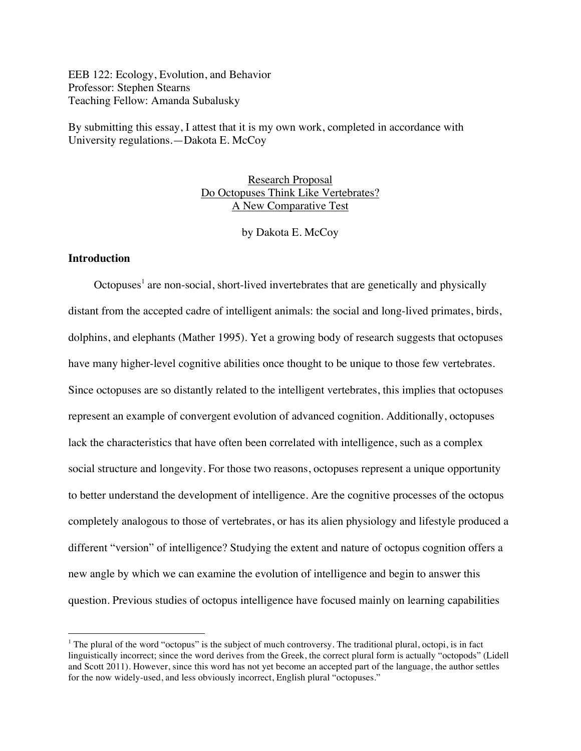EEB 122: Ecology, Evolution, and Behavior Professor: Stephen Stearns Teaching Fellow: Amanda Subalusky

By submitting this essay, I attest that it is my own work, completed in accordance with University regulations.—Dakota E. McCoy

> Research Proposal Do Octopuses Think Like Vertebrates? A New Comparative Test

> > by Dakota E. McCoy

# **Introduction**

Octopuses<sup>1</sup> are non-social, short-lived invertebrates that are genetically and physically distant from the accepted cadre of intelligent animals: the social and long-lived primates, birds, dolphins, and elephants (Mather 1995). Yet a growing body of research suggests that octopuses have many higher-level cognitive abilities once thought to be unique to those few vertebrates. Since octopuses are so distantly related to the intelligent vertebrates, this implies that octopuses represent an example of convergent evolution of advanced cognition. Additionally, octopuses lack the characteristics that have often been correlated with intelligence, such as a complex social structure and longevity. For those two reasons, octopuses represent a unique opportunity to better understand the development of intelligence. Are the cognitive processes of the octopus completely analogous to those of vertebrates, or has its alien physiology and lifestyle produced a different "version" of intelligence? Studying the extent and nature of octopus cognition offers a new angle by which we can examine the evolution of intelligence and begin to answer this question. Previous studies of octopus intelligence have focused mainly on learning capabilities

<sup>&</sup>lt;sup>1</sup> The plural of the word "octopus" is the subject of much controversy. The traditional plural, octopi, is in fact linguistically incorrect; since the word derives from the Greek, the correct plural form is actually "octopods" (Lidell and Scott 2011). However, since this word has not yet become an accepted part of the language, the author settles for the now widely-used, and less obviously incorrect, English plural "octopuses."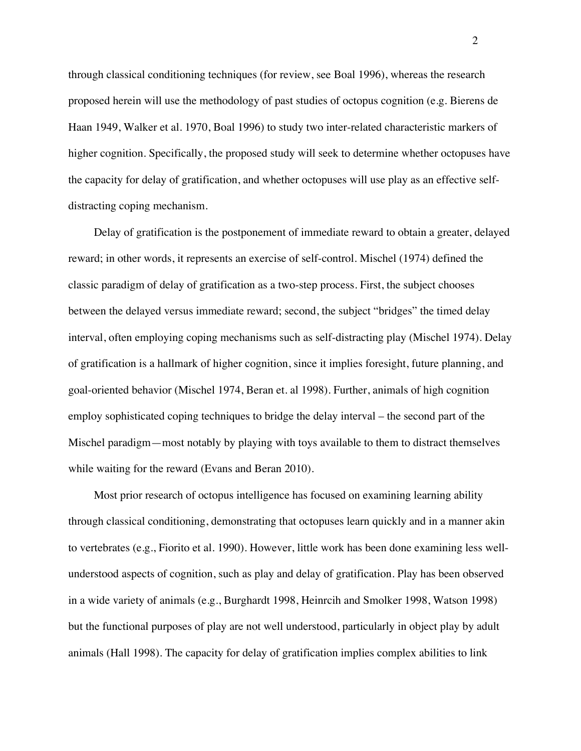through classical conditioning techniques (for review, see Boal 1996), whereas the research proposed herein will use the methodology of past studies of octopus cognition (e.g. Bierens de Haan 1949, Walker et al. 1970, Boal 1996) to study two inter-related characteristic markers of higher cognition. Specifically, the proposed study will seek to determine whether octopuses have the capacity for delay of gratification, and whether octopuses will use play as an effective selfdistracting coping mechanism.

Delay of gratification is the postponement of immediate reward to obtain a greater, delayed reward; in other words, it represents an exercise of self-control. Mischel (1974) defined the classic paradigm of delay of gratification as a two-step process. First, the subject chooses between the delayed versus immediate reward; second, the subject "bridges" the timed delay interval, often employing coping mechanisms such as self-distracting play (Mischel 1974). Delay of gratification is a hallmark of higher cognition, since it implies foresight, future planning, and goal-oriented behavior (Mischel 1974, Beran et. al 1998). Further, animals of high cognition employ sophisticated coping techniques to bridge the delay interval – the second part of the Mischel paradigm—most notably by playing with toys available to them to distract themselves while waiting for the reward (Evans and Beran 2010).

Most prior research of octopus intelligence has focused on examining learning ability through classical conditioning, demonstrating that octopuses learn quickly and in a manner akin to vertebrates (e.g., Fiorito et al. 1990). However, little work has been done examining less wellunderstood aspects of cognition, such as play and delay of gratification. Play has been observed in a wide variety of animals (e.g., Burghardt 1998, Heinrcih and Smolker 1998, Watson 1998) but the functional purposes of play are not well understood, particularly in object play by adult animals (Hall 1998). The capacity for delay of gratification implies complex abilities to link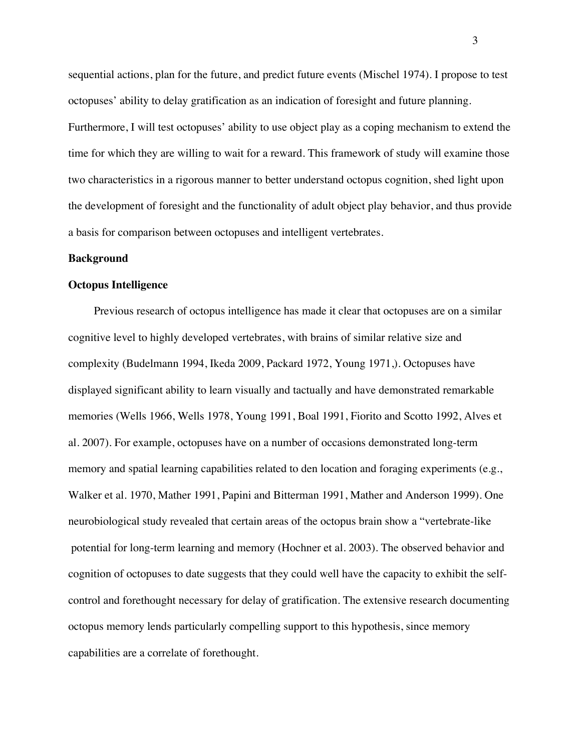sequential actions, plan for the future, and predict future events (Mischel 1974). I propose to test octopuses' ability to delay gratification as an indication of foresight and future planning. Furthermore, I will test octopuses' ability to use object play as a coping mechanism to extend the time for which they are willing to wait for a reward. This framework of study will examine those two characteristics in a rigorous manner to better understand octopus cognition, shed light upon the development of foresight and the functionality of adult object play behavior, and thus provide a basis for comparison between octopuses and intelligent vertebrates.

#### **Background**

#### **Octopus Intelligence**

Previous research of octopus intelligence has made it clear that octopuses are on a similar cognitive level to highly developed vertebrates, with brains of similar relative size and complexity (Budelmann 1994, Ikeda 2009, Packard 1972, Young 1971,). Octopuses have displayed significant ability to learn visually and tactually and have demonstrated remarkable memories (Wells 1966, Wells 1978, Young 1991, Boal 1991, Fiorito and Scotto 1992, Alves et al. 2007). For example, octopuses have on a number of occasions demonstrated long-term memory and spatial learning capabilities related to den location and foraging experiments (e.g., Walker et al. 1970, Mather 1991, Papini and Bitterman 1991, Mather and Anderson 1999). One neurobiological study revealed that certain areas of the octopus brain show a "vertebrate-like potential for long-term learning and memory (Hochner et al. 2003). The observed behavior and cognition of octopuses to date suggests that they could well have the capacity to exhibit the selfcontrol and forethought necessary for delay of gratification. The extensive research documenting octopus memory lends particularly compelling support to this hypothesis, since memory capabilities are a correlate of forethought.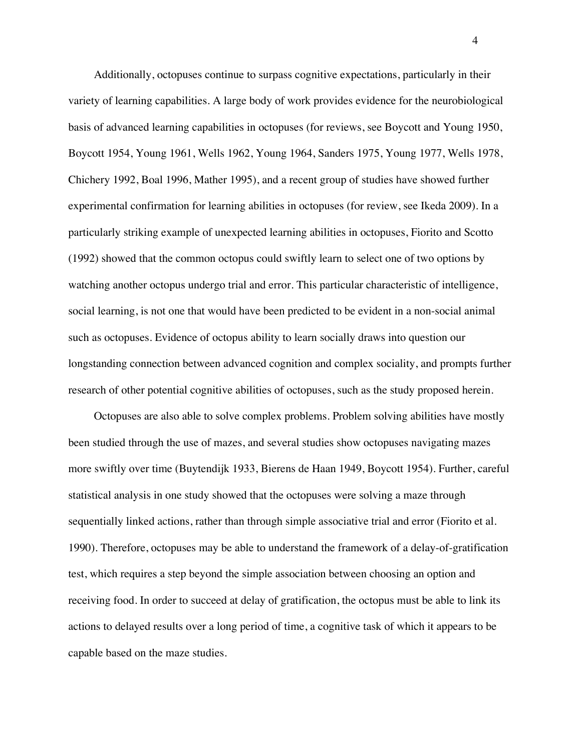Additionally, octopuses continue to surpass cognitive expectations, particularly in their variety of learning capabilities. A large body of work provides evidence for the neurobiological basis of advanced learning capabilities in octopuses (for reviews, see Boycott and Young 1950, Boycott 1954, Young 1961, Wells 1962, Young 1964, Sanders 1975, Young 1977, Wells 1978, Chichery 1992, Boal 1996, Mather 1995), and a recent group of studies have showed further experimental confirmation for learning abilities in octopuses (for review, see Ikeda 2009). In a particularly striking example of unexpected learning abilities in octopuses, Fiorito and Scotto (1992) showed that the common octopus could swiftly learn to select one of two options by watching another octopus undergo trial and error. This particular characteristic of intelligence, social learning, is not one that would have been predicted to be evident in a non-social animal such as octopuses. Evidence of octopus ability to learn socially draws into question our longstanding connection between advanced cognition and complex sociality, and prompts further research of other potential cognitive abilities of octopuses, such as the study proposed herein.

Octopuses are also able to solve complex problems. Problem solving abilities have mostly been studied through the use of mazes, and several studies show octopuses navigating mazes more swiftly over time (Buytendijk 1933, Bierens de Haan 1949, Boycott 1954). Further, careful statistical analysis in one study showed that the octopuses were solving a maze through sequentially linked actions, rather than through simple associative trial and error (Fiorito et al. 1990). Therefore, octopuses may be able to understand the framework of a delay-of-gratification test, which requires a step beyond the simple association between choosing an option and receiving food. In order to succeed at delay of gratification, the octopus must be able to link its actions to delayed results over a long period of time, a cognitive task of which it appears to be capable based on the maze studies.

4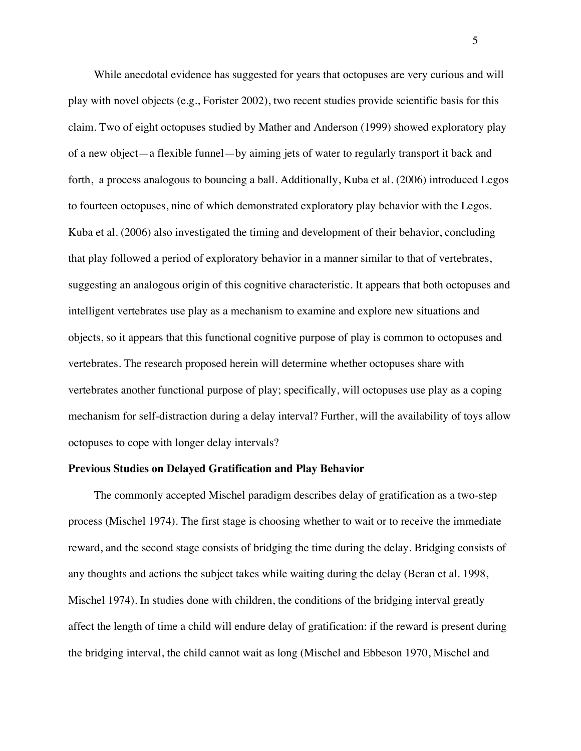While anecdotal evidence has suggested for years that octopuses are very curious and will play with novel objects (e.g., Forister 2002), two recent studies provide scientific basis for this claim. Two of eight octopuses studied by Mather and Anderson (1999) showed exploratory play of a new object—a flexible funnel—by aiming jets of water to regularly transport it back and forth, a process analogous to bouncing a ball. Additionally, Kuba et al. (2006) introduced Legos to fourteen octopuses, nine of which demonstrated exploratory play behavior with the Legos. Kuba et al. (2006) also investigated the timing and development of their behavior, concluding that play followed a period of exploratory behavior in a manner similar to that of vertebrates, suggesting an analogous origin of this cognitive characteristic. It appears that both octopuses and intelligent vertebrates use play as a mechanism to examine and explore new situations and objects, so it appears that this functional cognitive purpose of play is common to octopuses and vertebrates. The research proposed herein will determine whether octopuses share with vertebrates another functional purpose of play; specifically, will octopuses use play as a coping mechanism for self-distraction during a delay interval? Further, will the availability of toys allow octopuses to cope with longer delay intervals?

# **Previous Studies on Delayed Gratification and Play Behavior**

The commonly accepted Mischel paradigm describes delay of gratification as a two-step process (Mischel 1974). The first stage is choosing whether to wait or to receive the immediate reward, and the second stage consists of bridging the time during the delay. Bridging consists of any thoughts and actions the subject takes while waiting during the delay (Beran et al. 1998, Mischel 1974). In studies done with children, the conditions of the bridging interval greatly affect the length of time a child will endure delay of gratification: if the reward is present during the bridging interval, the child cannot wait as long (Mischel and Ebbeson 1970, Mischel and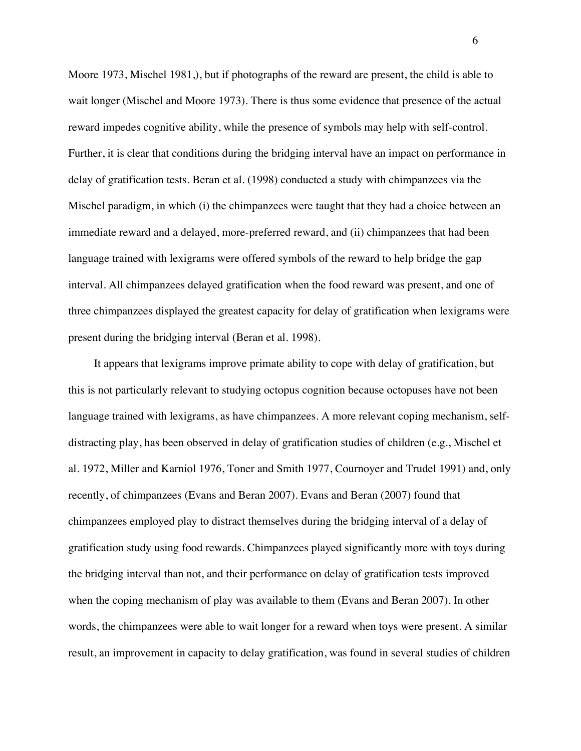Moore 1973, Mischel 1981,), but if photographs of the reward are present, the child is able to wait longer (Mischel and Moore 1973). There is thus some evidence that presence of the actual reward impedes cognitive ability, while the presence of symbols may help with self-control. Further, it is clear that conditions during the bridging interval have an impact on performance in delay of gratification tests. Beran et al. (1998) conducted a study with chimpanzees via the Mischel paradigm, in which (i) the chimpanzees were taught that they had a choice between an immediate reward and a delayed, more-preferred reward, and (ii) chimpanzees that had been language trained with lexigrams were offered symbols of the reward to help bridge the gap interval. All chimpanzees delayed gratification when the food reward was present, and one of three chimpanzees displayed the greatest capacity for delay of gratification when lexigrams were present during the bridging interval (Beran et al. 1998).

It appears that lexigrams improve primate ability to cope with delay of gratification, but this is not particularly relevant to studying octopus cognition because octopuses have not been language trained with lexigrams, as have chimpanzees. A more relevant coping mechanism, selfdistracting play, has been observed in delay of gratification studies of children (e.g., Mischel et al. 1972, Miller and Karniol 1976, Toner and Smith 1977, Cournoyer and Trudel 1991) and, only recently, of chimpanzees (Evans and Beran 2007). Evans and Beran (2007) found that chimpanzees employed play to distract themselves during the bridging interval of a delay of gratification study using food rewards. Chimpanzees played significantly more with toys during the bridging interval than not, and their performance on delay of gratification tests improved when the coping mechanism of play was available to them (Evans and Beran 2007). In other words, the chimpanzees were able to wait longer for a reward when toys were present. A similar result, an improvement in capacity to delay gratification, was found in several studies of children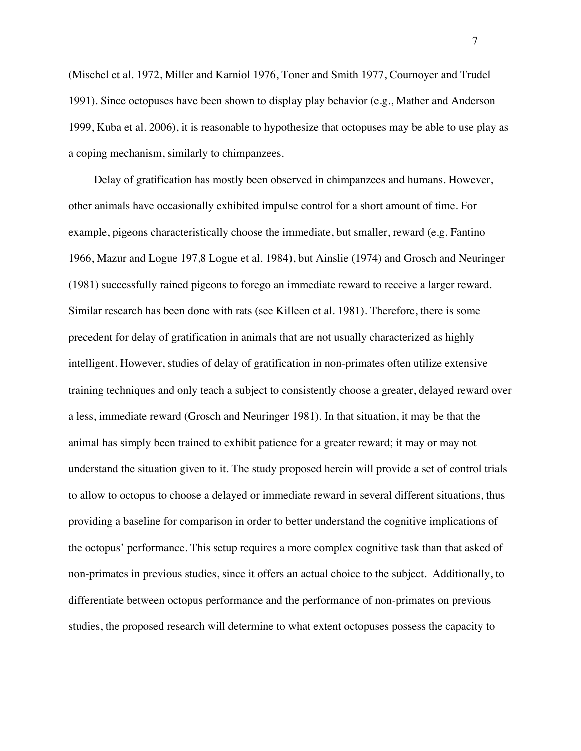(Mischel et al. 1972, Miller and Karniol 1976, Toner and Smith 1977, Cournoyer and Trudel 1991). Since octopuses have been shown to display play behavior (e.g., Mather and Anderson 1999, Kuba et al. 2006), it is reasonable to hypothesize that octopuses may be able to use play as a coping mechanism, similarly to chimpanzees.

Delay of gratification has mostly been observed in chimpanzees and humans. However, other animals have occasionally exhibited impulse control for a short amount of time. For example, pigeons characteristically choose the immediate, but smaller, reward (e.g. Fantino 1966, Mazur and Logue 197,8 Logue et al. 1984), but Ainslie (1974) and Grosch and Neuringer (1981) successfully rained pigeons to forego an immediate reward to receive a larger reward. Similar research has been done with rats (see Killeen et al. 1981). Therefore, there is some precedent for delay of gratification in animals that are not usually characterized as highly intelligent. However, studies of delay of gratification in non-primates often utilize extensive training techniques and only teach a subject to consistently choose a greater, delayed reward over a less, immediate reward (Grosch and Neuringer 1981). In that situation, it may be that the animal has simply been trained to exhibit patience for a greater reward; it may or may not understand the situation given to it. The study proposed herein will provide a set of control trials to allow to octopus to choose a delayed or immediate reward in several different situations, thus providing a baseline for comparison in order to better understand the cognitive implications of the octopus' performance. This setup requires a more complex cognitive task than that asked of non-primates in previous studies, since it offers an actual choice to the subject. Additionally, to differentiate between octopus performance and the performance of non-primates on previous studies, the proposed research will determine to what extent octopuses possess the capacity to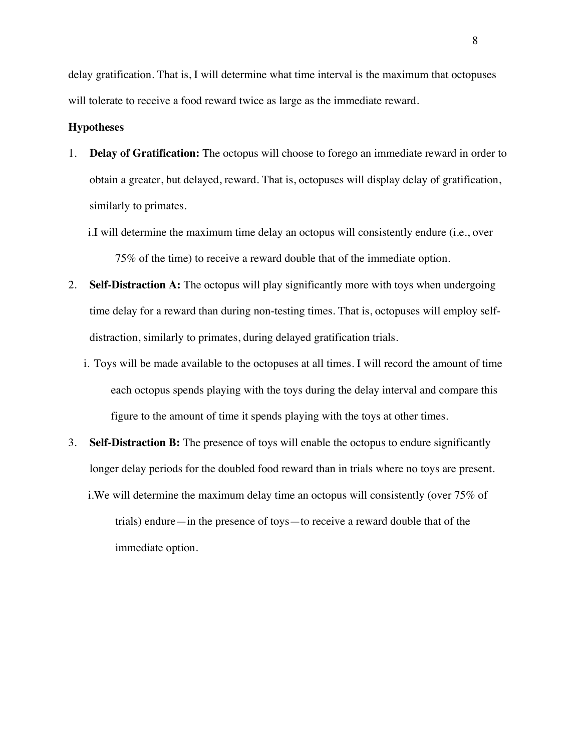delay gratification. That is, I will determine what time interval is the maximum that octopuses will tolerate to receive a food reward twice as large as the immediate reward.

### **Hypotheses**

- 1. **Delay of Gratification:** The octopus will choose to forego an immediate reward in order to obtain a greater, but delayed, reward. That is, octopuses will display delay of gratification, similarly to primates.
	- i.I will determine the maximum time delay an octopus will consistently endure (i.e., over 75% of the time) to receive a reward double that of the immediate option.
- 2. **Self-Distraction A:** The octopus will play significantly more with toys when undergoing time delay for a reward than during non-testing times. That is, octopuses will employ selfdistraction, similarly to primates, during delayed gratification trials.
	- i. Toys will be made available to the octopuses at all times. I will record the amount of time each octopus spends playing with the toys during the delay interval and compare this figure to the amount of time it spends playing with the toys at other times.
- 3. **Self-Distraction B:** The presence of toys will enable the octopus to endure significantly longer delay periods for the doubled food reward than in trials where no toys are present.
	- i.We will determine the maximum delay time an octopus will consistently (over 75% of trials) endure—in the presence of toys—to receive a reward double that of the immediate option.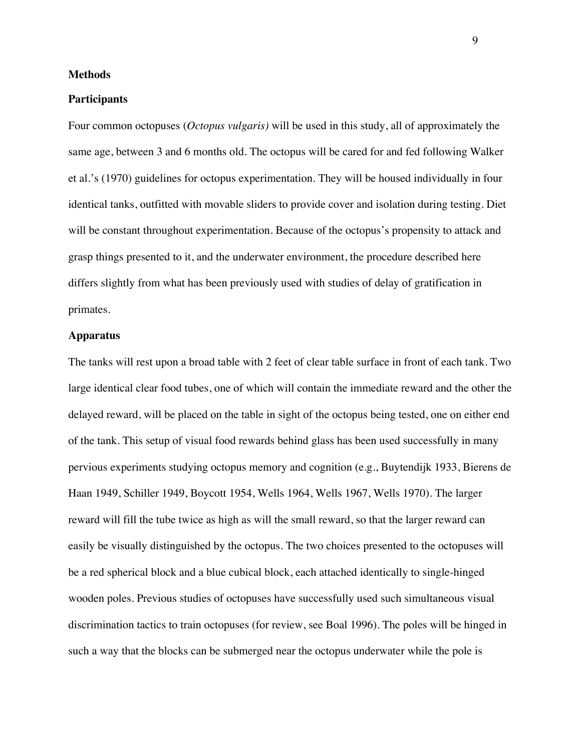### **Methods**

#### **Participants**

Four common octopuses (*Octopus vulgaris)* will be used in this study, all of approximately the same age, between 3 and 6 months old. The octopus will be cared for and fed following Walker et al.'s (1970) guidelines for octopus experimentation. They will be housed individually in four identical tanks, outfitted with movable sliders to provide cover and isolation during testing. Diet will be constant throughout experimentation. Because of the octopus's propensity to attack and grasp things presented to it, and the underwater environment, the procedure described here differs slightly from what has been previously used with studies of delay of gratification in primates.

### **Apparatus**

The tanks will rest upon a broad table with 2 feet of clear table surface in front of each tank. Two large identical clear food tubes, one of which will contain the immediate reward and the other the delayed reward, will be placed on the table in sight of the octopus being tested, one on either end of the tank. This setup of visual food rewards behind glass has been used successfully in many pervious experiments studying octopus memory and cognition (e.g., Buytendijk 1933, Bierens de Haan 1949, Schiller 1949, Boycott 1954, Wells 1964, Wells 1967, Wells 1970). The larger reward will fill the tube twice as high as will the small reward, so that the larger reward can easily be visually distinguished by the octopus. The two choices presented to the octopuses will be a red spherical block and a blue cubical block, each attached identically to single-hinged wooden poles. Previous studies of octopuses have successfully used such simultaneous visual discrimination tactics to train octopuses (for review, see Boal 1996). The poles will be hinged in such a way that the blocks can be submerged near the octopus underwater while the pole is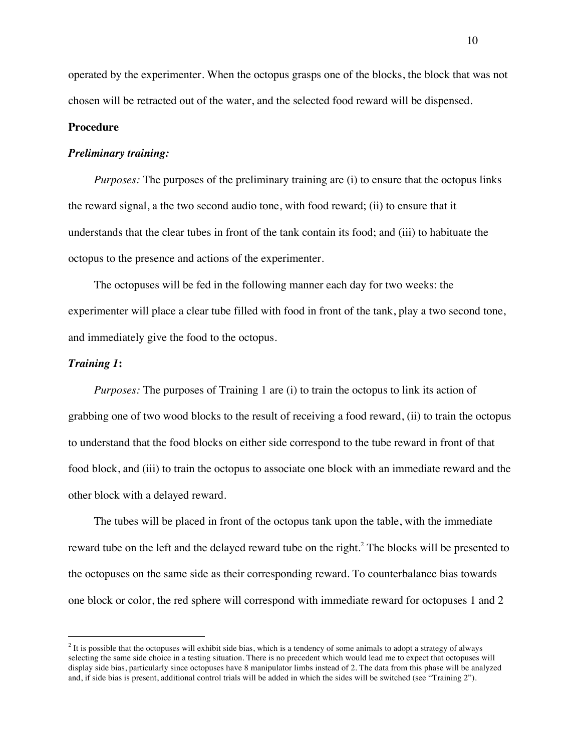operated by the experimenter. When the octopus grasps one of the blocks, the block that was not chosen will be retracted out of the water, and the selected food reward will be dispensed.

# **Procedure**

# *Preliminary training:*

*Purposes:* The purposes of the preliminary training are (i) to ensure that the octopus links the reward signal, a the two second audio tone, with food reward; (ii) to ensure that it understands that the clear tubes in front of the tank contain its food; and (iii) to habituate the octopus to the presence and actions of the experimenter.

The octopuses will be fed in the following manner each day for two weeks: the experimenter will place a clear tube filled with food in front of the tank, play a two second tone, and immediately give the food to the octopus.

### *Training 1***:**

*Purposes:* The purposes of Training 1 are (i) to train the octopus to link its action of grabbing one of two wood blocks to the result of receiving a food reward, (ii) to train the octopus to understand that the food blocks on either side correspond to the tube reward in front of that food block, and (iii) to train the octopus to associate one block with an immediate reward and the other block with a delayed reward.

The tubes will be placed in front of the octopus tank upon the table, with the immediate reward tube on the left and the delayed reward tube on the right.<sup>2</sup> The blocks will be presented to the octopuses on the same side as their corresponding reward. To counterbalance bias towards one block or color, the red sphere will correspond with immediate reward for octopuses 1 and 2

 $2$  It is possible that the octopuses will exhibit side bias, which is a tendency of some animals to adopt a strategy of always selecting the same side choice in a testing situation. There is no precedent which would lead me to expect that octopuses will display side bias, particularly since octopuses have 8 manipulator limbs instead of 2. The data from this phase will be analyzed and, if side bias is present, additional control trials will be added in which the sides will be switched (see "Training 2").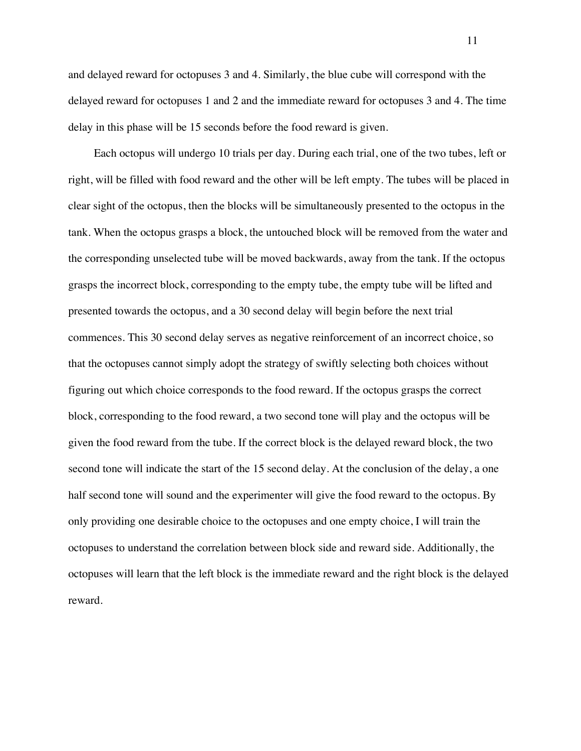and delayed reward for octopuses 3 and 4. Similarly, the blue cube will correspond with the delayed reward for octopuses 1 and 2 and the immediate reward for octopuses 3 and 4. The time delay in this phase will be 15 seconds before the food reward is given.

Each octopus will undergo 10 trials per day. During each trial, one of the two tubes, left or right, will be filled with food reward and the other will be left empty. The tubes will be placed in clear sight of the octopus, then the blocks will be simultaneously presented to the octopus in the tank. When the octopus grasps a block, the untouched block will be removed from the water and the corresponding unselected tube will be moved backwards, away from the tank. If the octopus grasps the incorrect block, corresponding to the empty tube, the empty tube will be lifted and presented towards the octopus, and a 30 second delay will begin before the next trial commences. This 30 second delay serves as negative reinforcement of an incorrect choice, so that the octopuses cannot simply adopt the strategy of swiftly selecting both choices without figuring out which choice corresponds to the food reward. If the octopus grasps the correct block, corresponding to the food reward, a two second tone will play and the octopus will be given the food reward from the tube. If the correct block is the delayed reward block, the two second tone will indicate the start of the 15 second delay. At the conclusion of the delay, a one half second tone will sound and the experimenter will give the food reward to the octopus. By only providing one desirable choice to the octopuses and one empty choice, I will train the octopuses to understand the correlation between block side and reward side. Additionally, the octopuses will learn that the left block is the immediate reward and the right block is the delayed reward.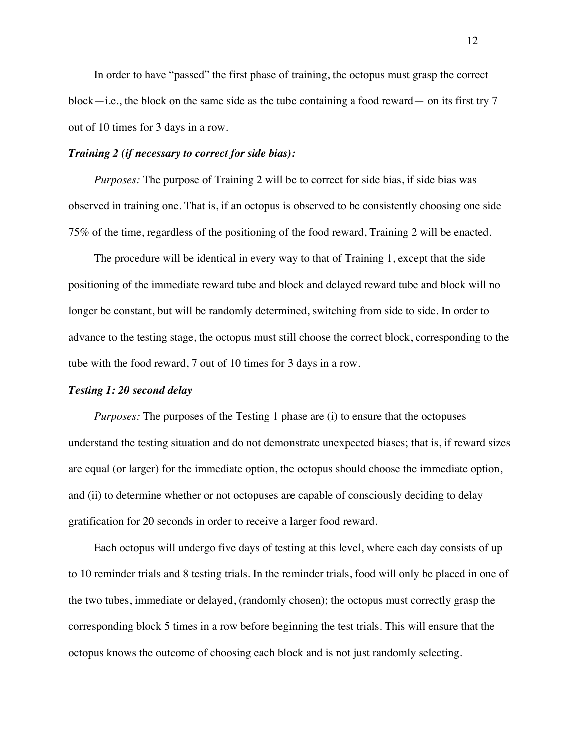In order to have "passed" the first phase of training, the octopus must grasp the correct block—i.e., the block on the same side as the tube containing a food reward— on its first try  $7$ out of 10 times for 3 days in a row.

# *Training 2 (if necessary to correct for side bias):*

*Purposes:* The purpose of Training 2 will be to correct for side bias, if side bias was observed in training one. That is, if an octopus is observed to be consistently choosing one side 75% of the time, regardless of the positioning of the food reward, Training 2 will be enacted.

The procedure will be identical in every way to that of Training 1, except that the side positioning of the immediate reward tube and block and delayed reward tube and block will no longer be constant, but will be randomly determined, switching from side to side. In order to advance to the testing stage, the octopus must still choose the correct block, corresponding to the tube with the food reward, 7 out of 10 times for 3 days in a row.

### *Testing 1: 20 second delay*

*Purposes:* The purposes of the Testing 1 phase are (i) to ensure that the octopuses understand the testing situation and do not demonstrate unexpected biases; that is, if reward sizes are equal (or larger) for the immediate option, the octopus should choose the immediate option, and (ii) to determine whether or not octopuses are capable of consciously deciding to delay gratification for 20 seconds in order to receive a larger food reward.

Each octopus will undergo five days of testing at this level, where each day consists of up to 10 reminder trials and 8 testing trials. In the reminder trials, food will only be placed in one of the two tubes, immediate or delayed, (randomly chosen); the octopus must correctly grasp the corresponding block 5 times in a row before beginning the test trials. This will ensure that the octopus knows the outcome of choosing each block and is not just randomly selecting.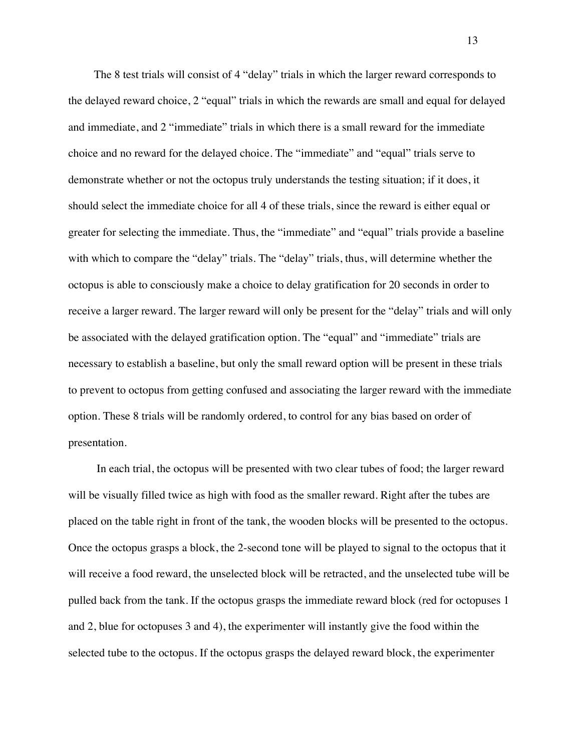The 8 test trials will consist of 4 "delay" trials in which the larger reward corresponds to the delayed reward choice, 2 "equal" trials in which the rewards are small and equal for delayed and immediate, and 2 "immediate" trials in which there is a small reward for the immediate choice and no reward for the delayed choice. The "immediate" and "equal" trials serve to demonstrate whether or not the octopus truly understands the testing situation; if it does, it should select the immediate choice for all 4 of these trials, since the reward is either equal or greater for selecting the immediate. Thus, the "immediate" and "equal" trials provide a baseline with which to compare the "delay" trials. The "delay" trials, thus, will determine whether the octopus is able to consciously make a choice to delay gratification for 20 seconds in order to receive a larger reward. The larger reward will only be present for the "delay" trials and will only be associated with the delayed gratification option. The "equal" and "immediate" trials are necessary to establish a baseline, but only the small reward option will be present in these trials to prevent to octopus from getting confused and associating the larger reward with the immediate option. These 8 trials will be randomly ordered, to control for any bias based on order of presentation.

In each trial, the octopus will be presented with two clear tubes of food; the larger reward will be visually filled twice as high with food as the smaller reward. Right after the tubes are placed on the table right in front of the tank, the wooden blocks will be presented to the octopus. Once the octopus grasps a block, the 2-second tone will be played to signal to the octopus that it will receive a food reward, the unselected block will be retracted, and the unselected tube will be pulled back from the tank. If the octopus grasps the immediate reward block (red for octopuses 1 and 2, blue for octopuses 3 and 4), the experimenter will instantly give the food within the selected tube to the octopus. If the octopus grasps the delayed reward block, the experimenter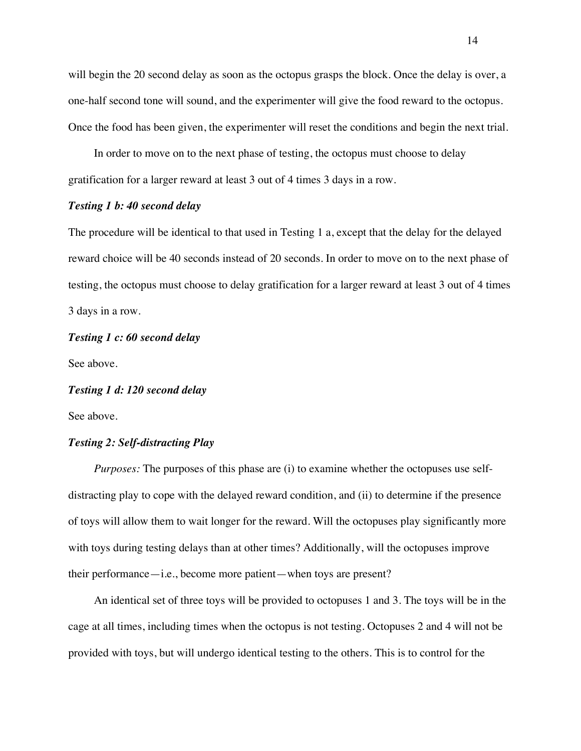will begin the 20 second delay as soon as the octopus grasps the block. Once the delay is over, a one-half second tone will sound, and the experimenter will give the food reward to the octopus. Once the food has been given, the experimenter will reset the conditions and begin the next trial.

In order to move on to the next phase of testing, the octopus must choose to delay gratification for a larger reward at least 3 out of 4 times 3 days in a row.

#### *Testing 1 b: 40 second delay*

The procedure will be identical to that used in Testing 1 a, except that the delay for the delayed reward choice will be 40 seconds instead of 20 seconds. In order to move on to the next phase of testing, the octopus must choose to delay gratification for a larger reward at least 3 out of 4 times 3 days in a row.

# *Testing 1 c: 60 second delay*

See above.

# *Testing 1 d: 120 second delay*

See above.

# *Testing 2: Self-distracting Play*

*Purposes:* The purposes of this phase are (i) to examine whether the octopuses use selfdistracting play to cope with the delayed reward condition, and (ii) to determine if the presence of toys will allow them to wait longer for the reward. Will the octopuses play significantly more with toys during testing delays than at other times? Additionally, will the octopuses improve their performance—i.e., become more patient—when toys are present?

An identical set of three toys will be provided to octopuses 1 and 3. The toys will be in the cage at all times, including times when the octopus is not testing. Octopuses 2 and 4 will not be provided with toys, but will undergo identical testing to the others. This is to control for the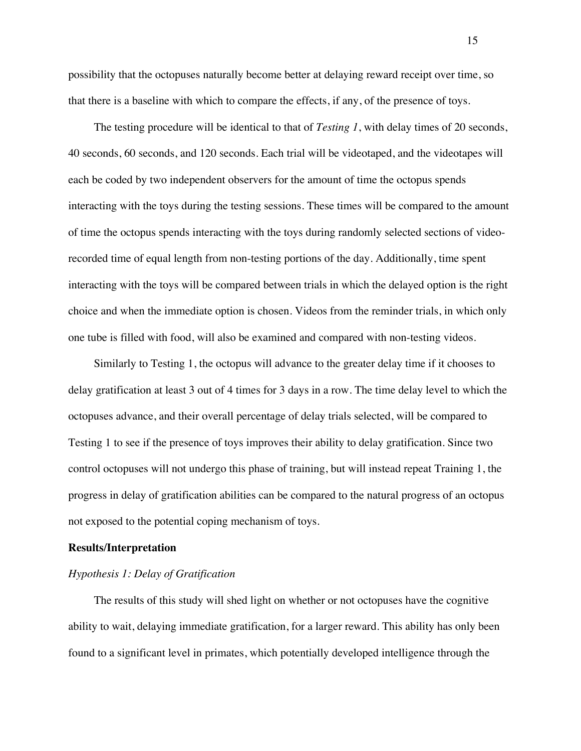possibility that the octopuses naturally become better at delaying reward receipt over time, so that there is a baseline with which to compare the effects, if any, of the presence of toys.

The testing procedure will be identical to that of *Testing 1*, with delay times of 20 seconds, 40 seconds, 60 seconds, and 120 seconds. Each trial will be videotaped, and the videotapes will each be coded by two independent observers for the amount of time the octopus spends interacting with the toys during the testing sessions. These times will be compared to the amount of time the octopus spends interacting with the toys during randomly selected sections of videorecorded time of equal length from non-testing portions of the day. Additionally, time spent interacting with the toys will be compared between trials in which the delayed option is the right choice and when the immediate option is chosen. Videos from the reminder trials, in which only one tube is filled with food, will also be examined and compared with non-testing videos.

Similarly to Testing 1, the octopus will advance to the greater delay time if it chooses to delay gratification at least 3 out of 4 times for 3 days in a row. The time delay level to which the octopuses advance, and their overall percentage of delay trials selected, will be compared to Testing 1 to see if the presence of toys improves their ability to delay gratification. Since two control octopuses will not undergo this phase of training, but will instead repeat Training 1, the progress in delay of gratification abilities can be compared to the natural progress of an octopus not exposed to the potential coping mechanism of toys.

### **Results/Interpretation**

# *Hypothesis 1: Delay of Gratification*

The results of this study will shed light on whether or not octopuses have the cognitive ability to wait, delaying immediate gratification, for a larger reward. This ability has only been found to a significant level in primates, which potentially developed intelligence through the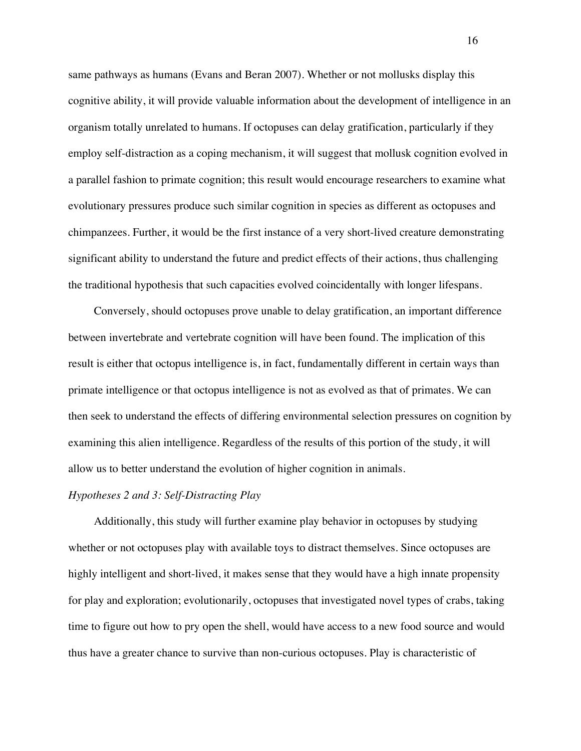same pathways as humans (Evans and Beran 2007). Whether or not mollusks display this cognitive ability, it will provide valuable information about the development of intelligence in an organism totally unrelated to humans. If octopuses can delay gratification, particularly if they employ self-distraction as a coping mechanism, it will suggest that mollusk cognition evolved in a parallel fashion to primate cognition; this result would encourage researchers to examine what evolutionary pressures produce such similar cognition in species as different as octopuses and chimpanzees. Further, it would be the first instance of a very short-lived creature demonstrating significant ability to understand the future and predict effects of their actions, thus challenging the traditional hypothesis that such capacities evolved coincidentally with longer lifespans.

Conversely, should octopuses prove unable to delay gratification, an important difference between invertebrate and vertebrate cognition will have been found. The implication of this result is either that octopus intelligence is, in fact, fundamentally different in certain ways than primate intelligence or that octopus intelligence is not as evolved as that of primates. We can then seek to understand the effects of differing environmental selection pressures on cognition by examining this alien intelligence. Regardless of the results of this portion of the study, it will allow us to better understand the evolution of higher cognition in animals.

# *Hypotheses 2 and 3: Self-Distracting Play*

Additionally, this study will further examine play behavior in octopuses by studying whether or not octopuses play with available toys to distract themselves. Since octopuses are highly intelligent and short-lived, it makes sense that they would have a high innate propensity for play and exploration; evolutionarily, octopuses that investigated novel types of crabs, taking time to figure out how to pry open the shell, would have access to a new food source and would thus have a greater chance to survive than non-curious octopuses. Play is characteristic of

16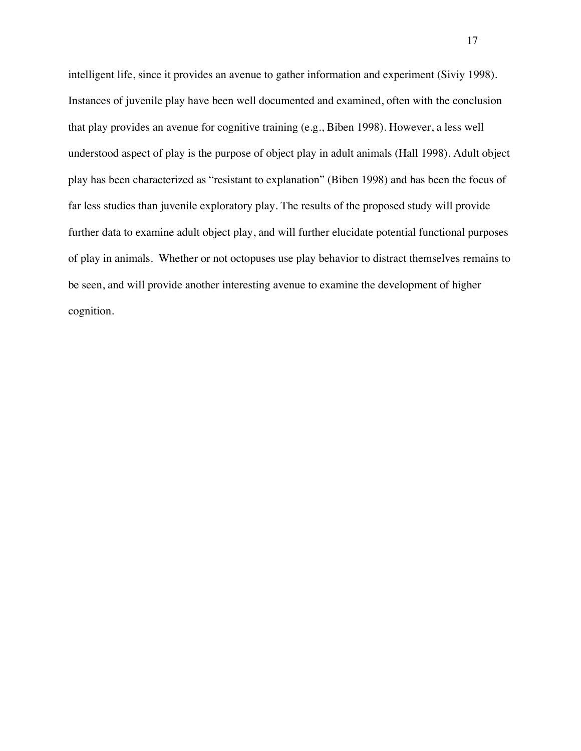intelligent life, since it provides an avenue to gather information and experiment (Siviy 1998). Instances of juvenile play have been well documented and examined, often with the conclusion that play provides an avenue for cognitive training (e.g., Biben 1998). However, a less well understood aspect of play is the purpose of object play in adult animals (Hall 1998). Adult object play has been characterized as "resistant to explanation" (Biben 1998) and has been the focus of far less studies than juvenile exploratory play. The results of the proposed study will provide further data to examine adult object play, and will further elucidate potential functional purposes of play in animals. Whether or not octopuses use play behavior to distract themselves remains to be seen, and will provide another interesting avenue to examine the development of higher cognition.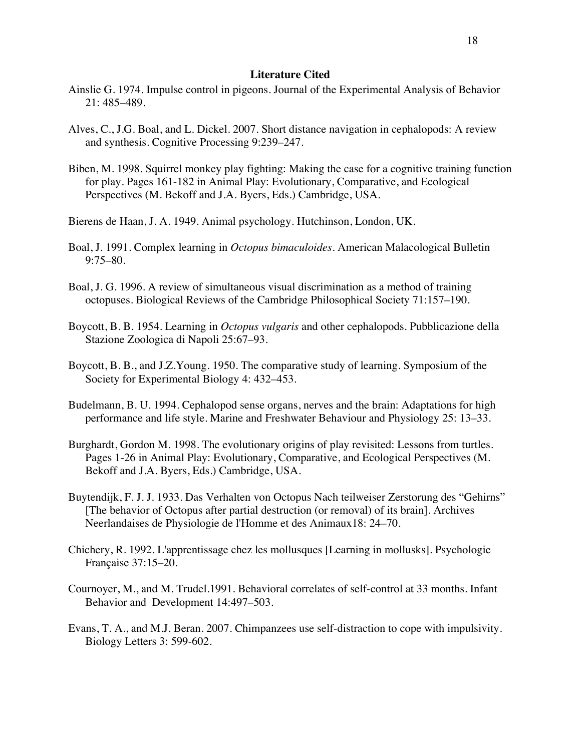### **Literature Cited**

- Ainslie G. 1974. Impulse control in pigeons. Journal of the Experimental Analysis of Behavior 21: 485–489.
- Alves, C., J.G. Boal, and L. Dickel. 2007. Short distance navigation in cephalopods: A review and synthesis. Cognitive Processing 9:239–247.
- Biben, M. 1998. Squirrel monkey play fighting: Making the case for a cognitive training function for play. Pages 161-182 in Animal Play: Evolutionary, Comparative, and Ecological Perspectives (M. Bekoff and J.A. Byers, Eds.) Cambridge, USA.
- Bierens de Haan, J. A. 1949. Animal psychology. Hutchinson, London, UK.
- Boal, J. 1991. Complex learning in *Octopus bimaculoides.* American Malacological Bulletin 9:75–80.
- Boal, J. G. 1996. A review of simultaneous visual discrimination as a method of training octopuses. Biological Reviews of the Cambridge Philosophical Society 71:157–190.
- Boycott, B. B. 1954. Learning in *Octopus vulgaris* and other cephalopods. Pubblicazione della Stazione Zoologica di Napoli 25:67–93.
- Boycott, B. B., and J.Z.Young. 1950. The comparative study of learning. Symposium of the Society for Experimental Biology 4: 432–453.
- Budelmann, B. U. 1994. Cephalopod sense organs, nerves and the brain: Adaptations for high performance and life style. Marine and Freshwater Behaviour and Physiology 25: 13–33.
- Burghardt, Gordon M. 1998. The evolutionary origins of play revisited: Lessons from turtles. Pages 1-26 in Animal Play: Evolutionary, Comparative, and Ecological Perspectives (M. Bekoff and J.A. Byers, Eds.) Cambridge, USA.
- Buytendijk, F. J. J. 1933. Das Verhalten von Octopus Nach teilweiser Zerstorung des "Gehirns" [The behavior of Octopus after partial destruction (or removal) of its brain]. Archives Neerlandaises de Physiologie de l'Homme et des Animaux18: 24–70.
- Chichery, R. 1992. L'apprentissage chez les mollusques [Learning in mollusks]. Psychologie Française 37:15–20.
- Cournoyer, M., and M. Trudel.1991. Behavioral correlates of self-control at 33 months. Infant Behavior and Development 14:497–503.
- Evans, T. A., and M.J. Beran. 2007. Chimpanzees use self-distraction to cope with impulsivity. Biology Letters 3: 599-602.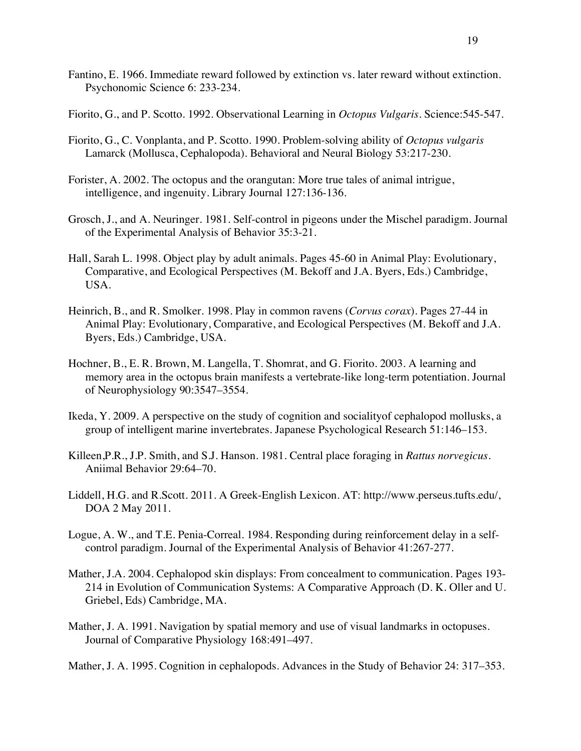- Fantino, E. 1966. Immediate reward followed by extinction vs. later reward without extinction. Psychonomic Science 6: 233-234.
- Fiorito, G., and P. Scotto. 1992. Observational Learning in *Octopus Vulgaris*. Science:545-547.
- Fiorito, G., C. Vonplanta, and P. Scotto. 1990. Problem-solving ability of *Octopus vulgaris*  Lamarck (Mollusca, Cephalopoda). Behavioral and Neural Biology 53:217-230.
- Forister, A. 2002. The octopus and the orangutan: More true tales of animal intrigue, intelligence, and ingenuity. Library Journal 127:136-136.
- Grosch, J., and A. Neuringer. 1981. Self-control in pigeons under the Mischel paradigm. Journal of the Experimental Analysis of Behavior 35:3-21.
- Hall, Sarah L. 1998. Object play by adult animals. Pages 45-60 in Animal Play: Evolutionary, Comparative, and Ecological Perspectives (M. Bekoff and J.A. Byers, Eds.) Cambridge, USA.
- Heinrich, B., and R. Smolker. 1998. Play in common ravens (*Corvus corax*). Pages 27-44 in Animal Play: Evolutionary, Comparative, and Ecological Perspectives (M. Bekoff and J.A. Byers, Eds.) Cambridge, USA.
- Hochner, B., E. R. Brown, M. Langella, T. Shomrat, and G. Fiorito. 2003. A learning and memory area in the octopus brain manifests a vertebrate-like long-term potentiation. Journal of Neurophysiology 90:3547–3554.
- Ikeda, Y. 2009. A perspective on the study of cognition and socialityof cephalopod mollusks, a group of intelligent marine invertebrates. Japanese Psychological Research 51:146–153.
- Killeen,P.R., J.P. Smith, and S.J. Hanson. 1981. Central place foraging in *Rattus norvegicus*. Aniimal Behavior 29:64–70.
- Liddell, H.G. and R.Scott. 2011. A Greek-English Lexicon. AT: http://www.perseus.tufts.edu/, DOA 2 May 2011.
- Logue, A. W., and T.E. Penia-Correal. 1984. Responding during reinforcement delay in a selfcontrol paradigm. Journal of the Experimental Analysis of Behavior 41:267-277.
- Mather, J.A. 2004. Cephalopod skin displays: From concealment to communication. Pages 193- 214 in Evolution of Communication Systems: A Comparative Approach (D. K. Oller and U. Griebel, Eds) Cambridge, MA.
- Mather, J. A. 1991. Navigation by spatial memory and use of visual landmarks in octopuses. Journal of Comparative Physiology 168:491–497.

Mather, J. A. 1995. Cognition in cephalopods. Advances in the Study of Behavior 24: 317–353.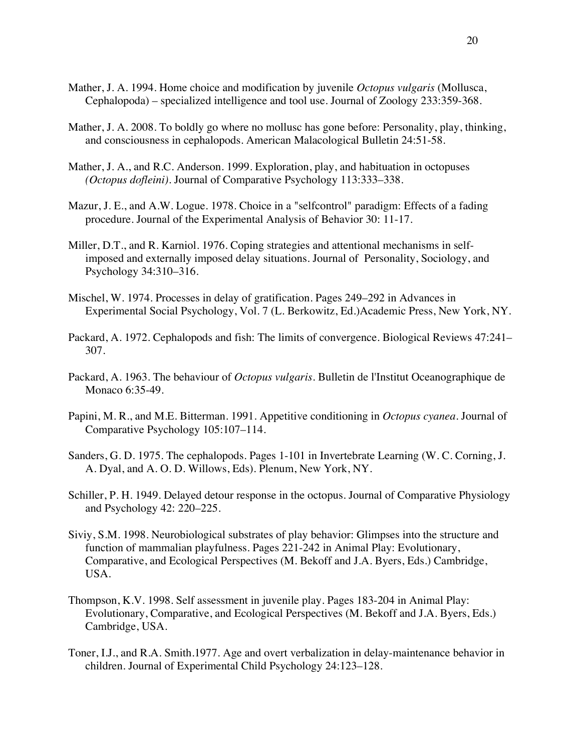- Mather, J. A. 1994. Home choice and modification by juvenile *Octopus vulgaris* (Mollusca, Cephalopoda) – specialized intelligence and tool use. Journal of Zoology 233:359-368.
- Mather, J. A. 2008. To boldly go where no mollusc has gone before: Personality, play, thinking, and consciousness in cephalopods. American Malacological Bulletin 24:51-58.
- Mather, J. A., and R.C. Anderson. 1999. Exploration, play, and habituation in octopuses *(Octopus dofleini)*. Journal of Comparative Psychology 113:333–338.
- Mazur, J. E., and A.W. Logue. 1978. Choice in a "selfcontrol" paradigm: Effects of a fading procedure. Journal of the Experimental Analysis of Behavior 30: 11-17.
- Miller, D.T., and R. Karniol. 1976. Coping strategies and attentional mechanisms in selfimposed and externally imposed delay situations. Journal of Personality, Sociology, and Psychology 34:310–316.
- Mischel, W. 1974. Processes in delay of gratification. Pages 249–292 in Advances in Experimental Social Psychology, Vol. 7 (L. Berkowitz, Ed.)Academic Press, New York, NY.
- Packard, A. 1972. Cephalopods and fish: The limits of convergence. Biological Reviews 47:241– 307.
- Packard, A. 1963. The behaviour of *Octopus vulgaris*. Bulletin de l'Institut Oceanographique de Monaco 6:35-49.
- Papini, M. R., and M.E. Bitterman. 1991. Appetitive conditioning in *Octopus cyanea*. Journal of Comparative Psychology 105:107–114.
- Sanders, G. D. 1975. The cephalopods. Pages 1-101 in Invertebrate Learning (W. C. Corning, J. A. Dyal, and A. O. D. Willows, Eds). Plenum, New York, NY.
- Schiller, P. H. 1949. Delayed detour response in the octopus. Journal of Comparative Physiology and Psychology 42: 220–225.
- Siviy, S.M. 1998. Neurobiological substrates of play behavior: Glimpses into the structure and function of mammalian playfulness. Pages 221-242 in Animal Play: Evolutionary, Comparative, and Ecological Perspectives (M. Bekoff and J.A. Byers, Eds.) Cambridge, USA.
- Thompson, K.V. 1998. Self assessment in juvenile play. Pages 183-204 in Animal Play: Evolutionary, Comparative, and Ecological Perspectives (M. Bekoff and J.A. Byers, Eds.) Cambridge, USA.
- Toner, I.J., and R.A. Smith.1977. Age and overt verbalization in delay-maintenance behavior in children. Journal of Experimental Child Psychology 24:123–128.